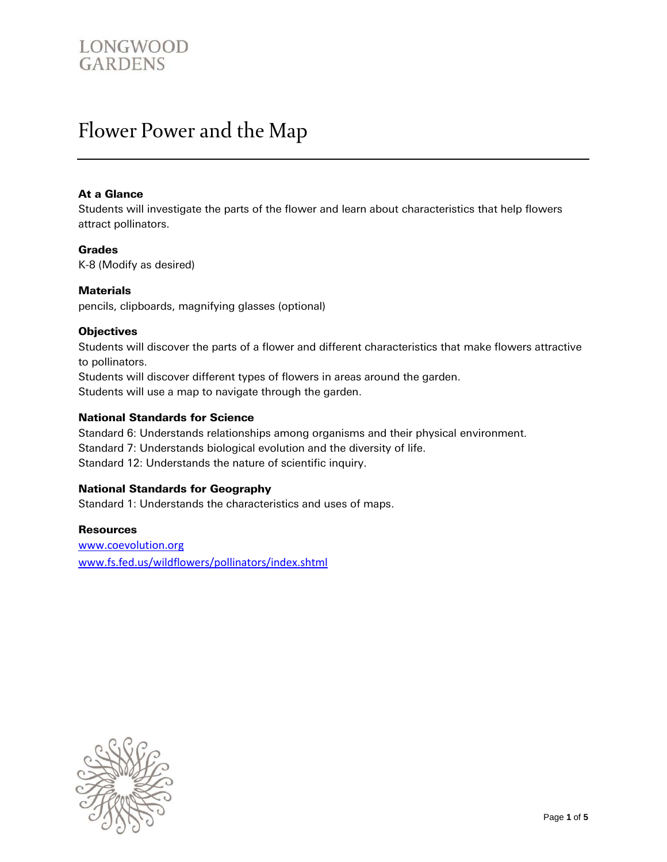# Flower Power and the Map

#### At a Glance

Students will investigate the parts of the flower and learn about characteristics that help flowers attract pollinators.

#### Grades

K-8 (Modify as desired)

#### **Materials**

pencils, clipboards, magnifying glasses (optional)

#### **Objectives**

Students will discover the parts of a flower and different characteristics that make flowers attractive to pollinators.

Students will discover different types of flowers in areas around the garden. Students will use a map to navigate through the garden.

#### National Standards for Science

Standard 6: Understands relationships among organisms and their physical environment. Standard 7: Understands biological evolution and the diversity of life. Standard 12: Understands the nature of scientific inquiry.

### National Standards for Geography

Standard 1: Understands the characteristics and uses of maps.

#### Resources

[www.coevolution.org](http://www.coevolution.org/) [www.fs.fed.us/wildflowers/pollinators/index.shtml](http://www.fs.fed.us/wildflowers/pollinators/index.shtml)

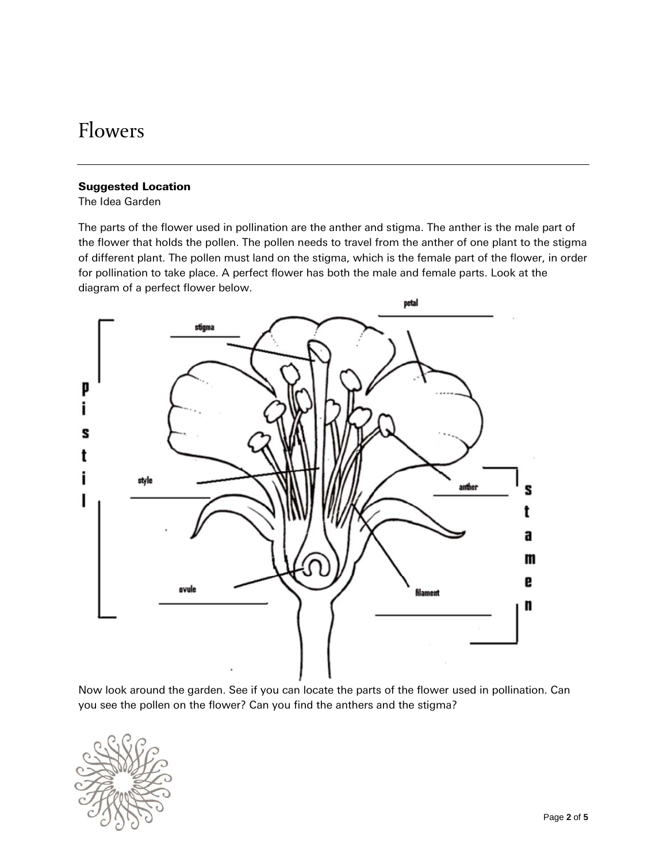# Flowers

#### Suggested Location

The Idea Garden

The parts of the flower used in pollination are the anther and stigma. The anther is the male part of the flower that holds the pollen. The pollen needs to travel from the anther of one plant to the stigma of different plant. The pollen must land on the stigma, which is the female part of the flower, in order for pollination to take place. A perfect flower has both the male and female parts. Look at the diagram of a perfect flower below.



Now look around the garden. See if you can locate the parts of the flower used in pollination. Can you see the pollen on the flower? Can you find the anthers and the stigma?

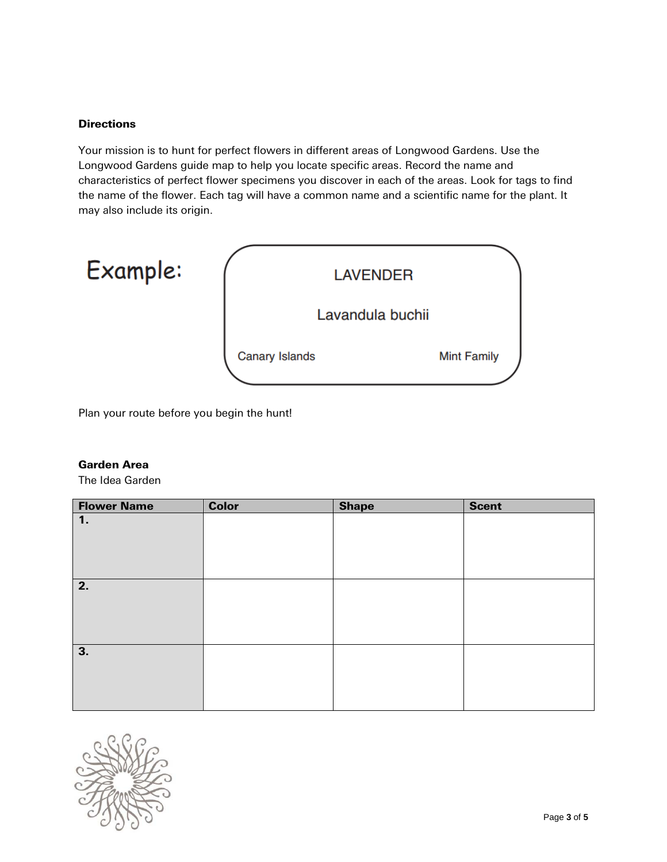#### **Directions**

Your mission is to hunt for perfect flowers in different areas of Longwood Gardens. Use the Longwood Gardens guide map to help you locate specific areas. Record the name and characteristics of perfect flower specimens you discover in each of the areas. Look for tags to find the name of the flower. Each tag will have a common name and a scientific name for the plant. It may also include its origin.



Plan your route before you begin the hunt!

#### Garden Area

The Idea Garden

| <b>Flower Name</b> | <b>Color</b> | <b>Shape</b> | <b>Scent</b> |
|--------------------|--------------|--------------|--------------|
| $\mathbf 1$ .      |              |              |              |
|                    |              |              |              |
|                    |              |              |              |
|                    |              |              |              |
| 2.                 |              |              |              |
|                    |              |              |              |
|                    |              |              |              |
|                    |              |              |              |
| 3.                 |              |              |              |
|                    |              |              |              |
|                    |              |              |              |
|                    |              |              |              |
|                    |              |              |              |

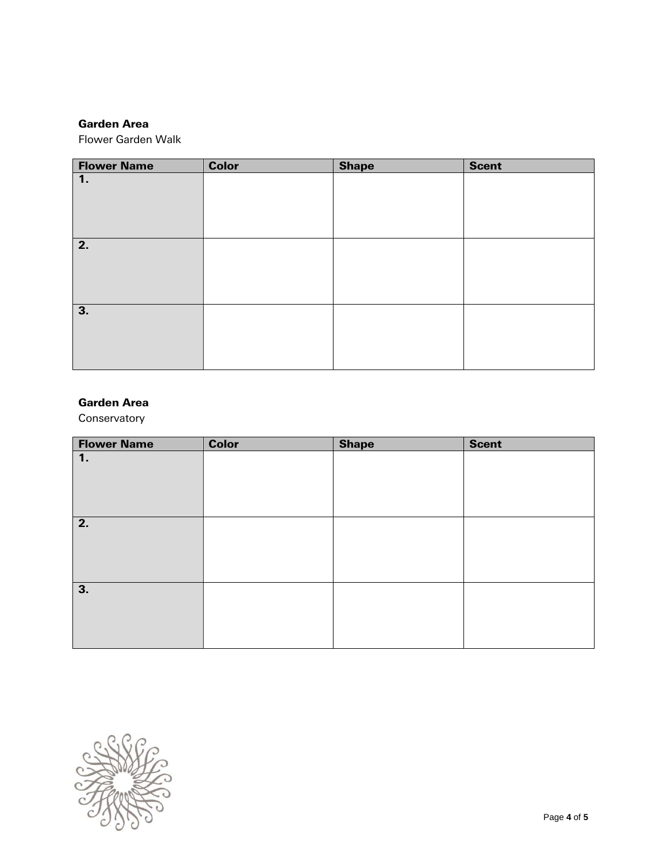### Garden Area

Flower Garden Walk

| <b>Flower Name</b> | <b>Color</b> | <b>Shape</b> | <b>Scent</b> |
|--------------------|--------------|--------------|--------------|
| $\mathbf 1$ .      |              |              |              |
| $\overline{2}$ .   |              |              |              |
| 3.                 |              |              |              |

## Garden Area

Conservatory

| <b>Flower Name</b> | <b>Color</b> | <b>Shape</b> | <b>Scent</b> |
|--------------------|--------------|--------------|--------------|
| 1.                 |              |              |              |
|                    |              |              |              |
|                    |              |              |              |
|                    |              |              |              |
| 2.                 |              |              |              |
|                    |              |              |              |
|                    |              |              |              |
|                    |              |              |              |
| 3.                 |              |              |              |
|                    |              |              |              |
|                    |              |              |              |
|                    |              |              |              |
|                    |              |              |              |